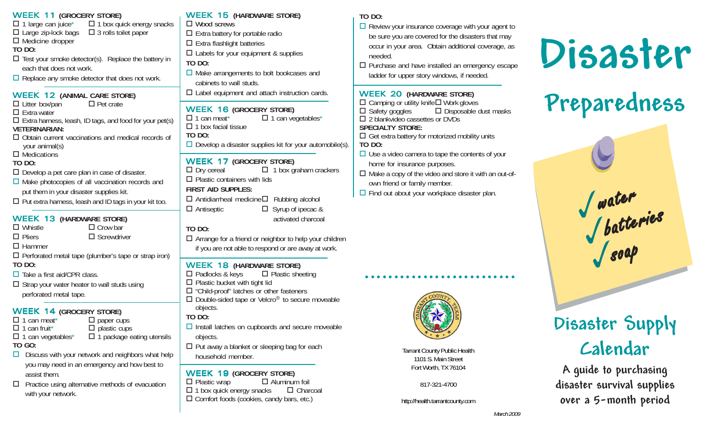| <b>WEEK 11 (GROCERY STORE)</b><br>$\Box$ 1 large can juice* $\Box$ 1 box quick energy snacks<br>$\Box$ Large zip-lock bags $\Box$ 3 rolls toilet paper<br>$\Box$ Medicine dropper<br><b>TO DO:</b><br>$\Box$ Test your smoke detector(s). Replace the battery in<br>each that does not work.<br>$\Box$ Replace any smoke detector that does not work.                                                                                                         | <b>WE</b><br>$\Box$ $\lor$<br>$\square$ E<br>$\square$ E<br>Ωt<br>TO I<br>$\Box$<br>C              |
|---------------------------------------------------------------------------------------------------------------------------------------------------------------------------------------------------------------------------------------------------------------------------------------------------------------------------------------------------------------------------------------------------------------------------------------------------------------|----------------------------------------------------------------------------------------------------|
| <b>WEEK 12 (ANIMAL CARE STORE)</b><br>$\Box$ Litter box/pan<br>$\Box$ Pet crate<br>$\Box$ Extra water<br>$\Box$ Extra harness, leash, ID tags, and food for your pet(s)<br><b>VETERINARIAN:</b><br>$\Box$ Obtain current vaccinations and medical records of<br>your animal(s)<br>$\Box$ Medications                                                                                                                                                          | ⊡ι<br><b>WE</b><br>$\Box$ 1<br>$\Box$ 1<br>TO I<br>$\Box$ $\Box$                                   |
| <b>TO DO:</b><br>$\Box$ Develop a pet care plan in case of disaster.<br>$\Box$ Make photocopies of all vaccination records and<br>put them in your disaster supplies kit.<br>$\Box$ Put extra harness, leash and ID tags in your kit too.                                                                                                                                                                                                                     | <b>WE</b><br>$\Box$ $\Box$<br>$\Box$ $\vdash$<br><b>FIRS</b><br><b>□</b> A<br><b>□</b> A           |
| <b>WEEK 13 (HARDWARE STORE)</b><br>$\Box$ Whistle<br>$\Box$ Crow bar<br>$\Box$ Pliers<br>$\Box$ Screwdriver<br>$\Box$ Hammer<br>$\Box$ Perforated metal tape (plumber's tape or strap iron)<br>TO DO:<br>$\Box$ Take a first aid/CPR class.<br>$\Box$ Strap your water heater to wall studs using                                                                                                                                                             | TO I<br>0 A<br>if<br><b>WE</b><br>$\Box$ P<br>$\Box$ P                                             |
| perforated metal tape.<br><b>WEEK 14 (GROCERY STORE)</b><br>$\Box$ 1 can meat <sup>*</sup><br>$\Box$ paper cups<br>$\Box$ 1 can fruit <sup>*</sup><br>$\Box$ plastic cups<br>$\Box$ 1 can vegetables*<br>$\Box$ 1 package eating utensils<br>TO GO:<br>Discuss with your network and neighbors what help<br>□.<br>you may need in an emergency and how best to<br>assist them.<br>Practice using alternative methods of evacuation<br>ப<br>with your network. | $\Box$ "<br>$\Box$ $\Box$<br>0<br>TO I<br>] Ir<br>0<br>$\Box$ $\vdash$<br>h<br>WE<br>□P<br>-1<br>C |

#### WEEK 15 **(HARDWARE STORE)** Wood screws Extra battery for portable radio Extra flashlight batteries Labels for your equipment & supplies **DO:**  Make arrangements to bolt bookcases and cabinets to wall studs. Label equipment and attach instruction cards. WEEK 16 **(GROCERY STORE)** can meat<sup>\*</sup>  $\Box$  1 can vegetables<sup>\*</sup> box facial tissue **DO:**  Develop a disaster supplies kit for your automobile(s). WEEK 17 **(GROCERY STORE)** Dry cereal  $\Box$  1 box graham crackers Plastic containers with lids **ST AID SUPPLES:**  Antidiarrheal medicine Rubbing alcohol Antiseptic □ Syrup of ipecac & activated charcoal **DO:**  Arrange for a friend or neighbor to help your children you are not able to respond or are away at work. WEEK 18 **(HARDWARE STORE)** Padlocks & keys  $\Box$  Plastic sheeting Plastic bucket with tight lid "Child-proof" latches or other fasteners  $\Box$  Double-sided tape or Velcro<sup>®</sup> to secure moveable objects. **DO:** nstall latches on cupboards and secure moveable objects.

 Put away a blanket or sleeping bag for each household member.

WEEK 19 **(GROCERY STORE)** Plastic wrap  $\Box$  Aluminum foil box quick energy snacks □ Charcoal Comfort foods (cookies, candy bars, etc.)

## **TO DO:**

 $\Box$  Review your insurance coverage with your agent to be sure you are covered for the disasters that may occur in your area. Obtain additional coverage, as needed.

 $\Box$  Purchase and have installed an emergency escape ladder for upper story windows, if needed.

#### WEEK 20 **(HARDWARE STORE)**

 $\Box$  Camping or utility knife  $\Box$  Work gloves  $\square$  Safety goggles  $\square$  Disposable dust masks □ 2 blankvideo cassettes or DVDs **SPECIALTY STORE:**  $\Box$  Get extra battery for motorized mobility units **TO DO:**

- $\Box$  Use a video camera to tape the contents of your home for insurance purposes.
- $\Box$  Make a copy of the video and store it with an out-ofown friend or family member.

Tarrant County Public Health 1101 S. Main Street Fort Worth, TX 76104

○○○○○○○○○○○○○○○○○○○○○○○○○○

817-321-4700

http://health.tarrantcounty.com

 $\Box$  Find out about your workplace disaster plan.



# **Preparedness**



# **Disaster Supply Calendar**

**A guide to purchasing disaster survival supplies over a 5-month period**

*March 2009*